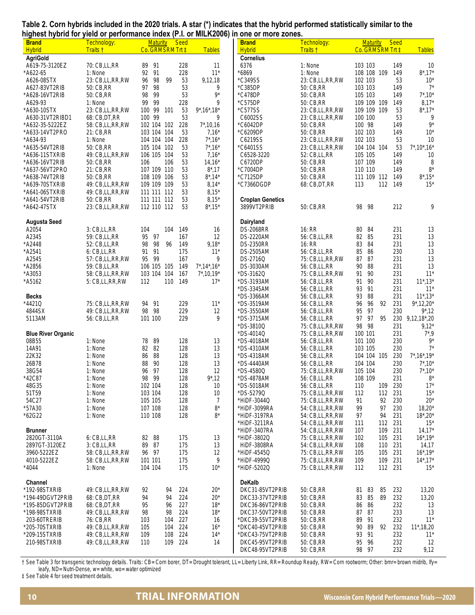|                                                                                        |  | Table 2. Corn hybrids included in the 2020 trials. A star (*) indicates that the hybrid performed statistically similar to the |
|----------------------------------------------------------------------------------------|--|--------------------------------------------------------------------------------------------------------------------------------|
| highest hybrid for yield or performance index (P.I. or MILK2006) in one or more zones. |  |                                                                                                                                |

| <b>Brand</b><br><b>Hybrid</b> | <br>Technology:<br>Traits † | <b>Maturity</b><br>Co. GRMSRM Trt ‡ | .<br><b>Seed</b> | <b>Tables</b>           | <b>Brand</b><br>Hybrid  | Technology:<br>Traits t | <b>Maturity</b><br>Co. GRMSRM Trt ‡ | <b>Seed</b> | <b>Tables</b>             |
|-------------------------------|-----------------------------|-------------------------------------|------------------|-------------------------|-------------------------|-------------------------|-------------------------------------|-------------|---------------------------|
| <b>AgriGold</b>               |                             |                                     |                  |                         | <b>Cornelius</b>        |                         |                                     |             |                           |
| A619-75-3120EZ                | 70: CB, LL, RR              | 91<br>89                            | 228              | 11                      | 6376                    | 1: None                 | 103 103                             | 149         | 10                        |
| *A622-65                      | 1: None                     | 92 91                               | 228              | $11*$                   | $*6869$                 | 1: None                 | 108 108 109                         | 149         | $8^*$ , 17*               |
| A626-08STX                    | 23: CB,LL,RR,RW             | 98<br>99<br>96                      | 53               | 9,12,18                 | *C349SS                 | 23: CB,LL,RR,RW         | 102 103                             | 53          | $10^*$                    |
| A627-83VT2RIB                 | 50: CB, RR                  | 97<br>98                            | 53               | 9                       | *C385DP                 | 50: CB, RR              | 103 103                             | 149         | $7^*$                     |
| * A628-16VT2RIB               | 50: CB, RR                  | 98<br>99                            | 53               | $9*$                    | *C478DP                 | 50: CB, RR              | 105 103                             | 149         | $7^*$ , 10*               |
| A629-93                       | 1: None                     | 99<br>99                            | 228              | 9                       | *C575DP                 | 50: CB, RR              | 109 109 109                         | 149         | $8,17*$                   |
| *A630-10STX                   | 23: CB,LL,RR,RW             | 100 99<br>101                       | 53               | $9^*$ , 16 $*$ , 18 $*$ | *C577SS                 | 23: CB,LL,RR,RW         | 109 109<br>109                      | 53          | $8^*$ , 17*               |
| A630-31VT2RIBD1               | 68: CB, DT, RR              | 100 99                              | 53               | 9                       | C6002SS                 | 23: CB,LL,RR,RW         | 100 100                             | 53          | 9                         |
| * A632-35-5222EZ              | 58: CB, LL, RR, RW          | 102 104 102                         | 228              | $7^*$ , 10, 16          | *C6042DP                | 50: CB, RR              | 100 98                              | 149         | $9*$                      |
| *A633-14VT2PRO                | 21: CB, RR                  | 103 104 104                         | 53               | $7,16*$                 | *C6209DP                | 50: CB, RR              | 102 103                             | 149         | $10*$                     |
| * A634-93                     | 1: None                     | 104 104 104                         | 228              | $7^*$ , 16 <sup>*</sup> | C6219SS                 | 23: CB,LL,RR,RW         | 102 103                             | 53          | 10                        |
| *A635-54VT2RIB                | 50: CB, RR                  | 105 104 102                         | 53               | $7^*$ , 16*             | *C6401SS                | 23: CB,LL,RR,RW         | 104 104 104                         | 53          | $7^*$ , 10 $^*$ , 16 $^*$ |
| *A636-11STXRIB                | 49: CB,LL,RR,RW             | 106 105 104                         | 53               | $7,16*$                 | C6528-3220              | 52: CB, LL, RR          | 105 105                             | 149         | 10                        |
| *A636-16VT2RIB                | 50: CB, RR                  | 106<br>106                          | 53               | $14,16*$                | C6720DP                 | 50: CB, RR              | 107 109                             | 149         | 8                         |
| * A637-56VT2PRO               | 21: CB, RR                  | 107 109 110                         | 53               | $8^*$ , 17              | *C7004DP                | 50: CB, RR              | 110 110                             | 149         | $8^{\star}$               |
| *A638-74VT2RIB                | 50: CB, RR                  | 108 109 106                         | 53               | $8^*$ , 14 $*$          | *C7125DP                | 50: CB, RR              | 111 109 112                         | 149         | $8^*$ , 15*               |
| *A639-70STXRIB                | 49: CB,LL,RR,RW             | 109 109 109                         | 53               | $8,14*$                 | *C7366DGDP              | 68: CB, DT, RR          | 113<br>112                          | 149         | $15*$                     |
| *A641-06STXRIB                | 49: CB,LL,RR,RW             | 111 111 112                         | 53               | $8,15*$                 |                         |                         |                                     |             |                           |
| *A641-54VT2RIB                | 50: CB, RR                  | 111 111 112                         | 53               | $8,15*$                 | <b>Croplan Genetics</b> |                         |                                     |             |                           |
| *A642-47STX                   | 23: CB,LL,RR,RW             | 112 110 112                         | 53               | $8^*$ , 15 $*$          | 3899VT2PRIB             | 50: CB, RR              | 98<br>98                            | 212         | 9                         |
|                               |                             |                                     |                  |                         |                         |                         |                                     |             |                           |
| <b>Augusta Seed</b>           |                             |                                     |                  |                         | Dairyland               |                         |                                     |             |                           |
| A2054                         | 3: CB,LL,RR                 | 104<br>104                          | 149              | 16                      | <b>DS-2068RR</b>        | 16: RR                  | 80<br>84                            | 231         | 13                        |
| A2345                         | 59: CB, LL, RR              | 95<br>97                            | 167              | 12                      | DS-2220AM               | 56: CB, LL, RR          | 82 85                               | 231         | 13                        |
| *A2448                        | 52: CB, LL, RR              | 98<br>98<br>96                      | 149              | $9,18*$                 | <b>DS-2350RR</b>        | 16: RR                  | 83<br>84                            | 231         | 13                        |
| *A2541                        | 6: CB,LL,RR                 | 91<br>91                            | 175              | $11*$                   | DS-2505AM               | 56: CB, LL, RR          | 85<br>86                            | 230         | 13                        |
| A2545                         | 57: CB,LL,RR,RW             | 99<br>95                            | 167              | 9                       | DS-2716Q                | 75: CB,LL,RR,RW         | 87<br>87                            | 231         | 13                        |
| *A2856                        | 59: CB, LL, RR              | 106 105 105                         | 149              | $7^*$ , 14 $*$ , 16 $*$ | DS-3030AM               | 56: CB, LL, RR          | 90<br>88                            | 231         | 13                        |
| *A3053                        | 58: CB, LL, RR, RW          | 103 104<br>104                      | 167              | $7^*$ , 10, 19 $*$      | * DS-3162Q              | 75: CB,LL,RR,RW         | 91<br>90                            | 231         | $11*$                     |
| *A5162                        | 5: CB,LL,RR,RW              | 112<br>110                          | 149              | $17*$                   | *DS-3193AM              | 56: CB, LL, RR          | 90<br>91                            | 231         | $11^*$ , $13^*$           |
|                               |                             |                                     |                  |                         | * DS-3345AM             | 56: CB, LL, RR          | 91<br>93                            | 231         | $11*$                     |
| <b>Becks</b>                  |                             |                                     |                  |                         | *DS-3366AM              | 56: CB, LL, RR          | 93<br>88                            | 231         | $11^*$ , $13^*$           |
| *4421Q                        | 75: CB,LL,RR,RW             | 94<br>91                            | 229              | $11*$                   | *DS-3519AM              | 56: CB, LL, RR          | 92<br>96<br>96                      | 231         | $9^*$ , 12, 20*           |
| 4844SX                        | 49: CB,LL,RR,RW             | 98<br>98                            | 229              | 12                      | *DS-3550AM              | 56: CB, LL, RR          | 97<br>95                            | 230         | $9^*$ , 12                |
| 5113AM                        | 56: CB, LL, RR              | 101 100                             | 229              | 9                       | *DS-3715AM              | 56: CB, LL, RR          | 97<br>97<br>95                      | 230         | $9,12,18$ *,20            |
|                               |                             |                                     |                  |                         | *DS-3810Q               | 75: CB,LL,RR,RW         | 98 98                               | 231         | $9,12*$                   |
| <b>Blue River Organic</b>     |                             |                                     |                  |                         | *DS-4014Q               | 75: CB,LL,RR,RW         | 100 101                             | 231         | $7^*$ ,9                  |
| 08B55                         | 1: None                     | 78<br>89                            | 128              | 13                      | *DS-4018AM              | 56: CB, LL, RR          | 101 100                             | 230         | $9*$                      |
| 14A91                         | 1: None                     | 82<br>82                            | 128              | 13                      | *DS-4310AM              | 56: CB, LL, RR          | 103 105                             | 230         | $7^*$                     |
| 22K32                         | 1: None                     | 86<br>88                            | 128              | 13                      | *DS-4318AM              | 56: CB, LL, RR          | 104 104 105                         | 230         | $7^*$ , 16 $*$ , 19 $*$   |
| 26B78                         | 1: None                     | 88<br>90                            | 128              | 13                      | * DS-4440AM             | 56: CB, LL, RR          | 104 104                             | 230         | $7^*$ , 10*               |
| 38G54                         | 1: None                     | 97<br>96                            | 128              | 12                      | *DS-4580Q               | 75: CB,LL,RR,RW         | 105 104                             | 230         | $7^*$ , 10*               |
| *42C87                        | 1: None                     | 98<br>- 99                          | 128              | $9^*$ , 12              | *DS-4878AM              | 56: CB, LL, RR          | 108 109                             | 231         | $8*$                      |
| 48G35                         | 1: None                     | 102 104                             | 128              | 10                      | * DS-5018AM             | 56: CB, LL, RR          | 109<br>110                          | 230         | $17*$                     |
| 51T59                         | 1: None                     | 103 104                             | 128              | 10                      | *DS-5279Q               | 75: CB,LL,RR,RW         | 112<br>112                          | 231         | $15*$                     |
| 54C27                         | 1: None                     | 105 105                             | 128              | 7                       | *HIDF-3044Q             | 75: CB,LL,RR,RW         | 91<br>92                            | 230         | $20*$                     |
| *57A30                        | 1: None                     | 107 108                             | 128              | $8*$                    | *HiDF-3099RA            | 54: CB,LL,RR,RW         | 99<br>97                            | 230         | $18,20*$                  |
| *62G22                        | 1: None                     | 110 108                             | 128              | $8^*$                   | *HiDF-3197RA            | 54: CB,LL,RR,RW         | 94<br>97                            | 231         | $18^*$ , $20^*$           |
|                               |                             |                                     |                  |                         | *HiDF-3211RA            | 54: CB.LL.RR.RW         | 112 231<br>111                      |             | $15*$                     |
| <b>Brunner</b>                |                             |                                     |                  |                         | *HIDF-3407RA            | 54: CB,LL,RR,RW         | 109<br>107                          | 231         | $14,17*$                  |
| 2820GT-3110A                  | 6: CB,LL,RR                 | 82<br>88                            | 175              | 13                      | *HiDF-3802Q             | 75: CB,LL,RR,RW         | 105 231<br>102                      |             | $16^*$ , $19^*$           |
| 2897GT-3120EZ                 | 3: CB,LL,RR                 | 89<br>87                            | 175              | 13                      | <b>HiDF-3808RA</b>      | 54: CB,LL,RR,RW         | 108<br>110                          | 231         | 14,17                     |
| 3960-5222EZ                   | 58: CB,LL,RR,RW             | 96 97                               | 175              | 12                      | *HiDF-4545Q             | 75: CB,LL,RR,RW         | 105<br>105                          | 231         | $16^*$ , $19^*$           |
| 4010-5222EZ                   | 58: CB, LL, RR, RW          | 101 101                             | 175              | 9                       | *HiDF-4999Q             | 75: CB,LL,RR,RW         | 109<br>109                          | 231         | $14^*$ , $17^*$           |
| * 4044                        | 1: None                     | 104 104                             | 175              | $10*$                   | *HiDF-5202Q             | 75: CB,LL,RR,RW         | 112 231<br>112                      |             | $15*$                     |
|                               |                             |                                     |                  |                         |                         |                         |                                     |             |                           |
| Channel                       |                             |                                     |                  |                         | <b>DeKalb</b>           |                         |                                     |             |                           |
| *192-98STXRIB                 | 49: CB,LL,RR,RW             | 92<br>94                            | 224              | $20*$                   | DKC31-85VT2PRIB         | 50: CB, RR              | 83<br>85<br>81                      | 232         | 13,20                     |
| *194-49DGVT2PRIB              | 68: CB, DT, RR              | 94<br>94                            | 224              | $20*$                   | DKC33-37VT2PRIB         | 50: CB, RR              | 85<br>89<br>83                      | 232         | 13,20                     |
| *195-85DGVT2PRIB              | 68: CB, DT, RR              | 95<br>96                            | 227              | $18*$                   | DKC36-86VT2PRIB         | 50: CB, RR              | 86<br>86                            | 232         | 13                        |
| *198-98STXRIB                 | 49: CB,LL,RR,RW             | 98<br>98                            | 224              | $18*$                   | DKC37-50VT2PRIB         | 50: CB, RR              | 87<br>87                            | 233         | 13                        |
| 203-60TRERIB                  | 76: CB, RR                  | 103<br>104                          | 227              | 16                      | *DKC39-55VT2PRIB        | 50: CB, RR              | 89 91                               | 232         | $11*$                     |
| *205-70STXRIB                 | 49: CB,LL,RR,RW             | 105<br>104                          | 224              | $16*$                   | *DKC40-45VT2PRIB        | 50: CB, RR              | 90<br>89<br>92                      | 232         | $11^*$ , 18, 20           |
| *209-15STXRIB                 | 49: CB,LL,RR,RW             | 109<br>108                          | 224              | $14*$                   | *DKC43-75VT2PRIB        | 50: CB, RR              | 93 91                               | 232         | $11*$                     |
| 210-98STXRIB                  | 49: CB,LL,RR,RW             | 110                                 | 109 224          | 14                      | DKC45-95VT2PRIB         | 50: CB, RR              | 95<br>96                            | 232         | 12                        |
|                               |                             |                                     |                  |                         | DKC48-95VT2PRIB         | 50: CB, RR              | 98 97                               | 232         | 9,12                      |

† See Table 3 for transgenic technology details. Traits: CB= Corn borer, DT= Drought tolerant, LL= Liberty Link, RR= Roundup Ready, RW= Corn rootworm; Other: bmr= brown midrib, lfy= leafy, ND= Nutri-Dense, w= white, wo= water optimized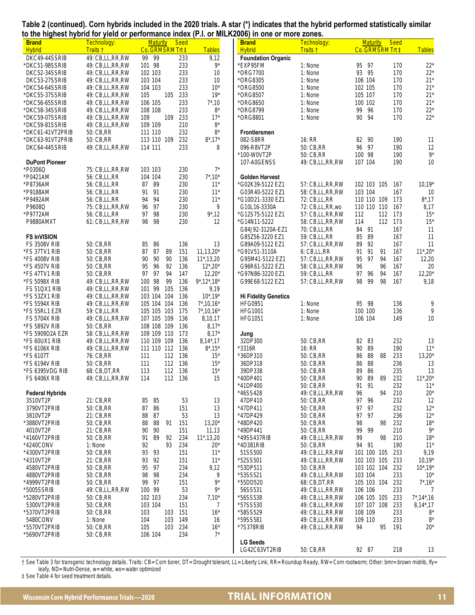|  |  | Table 2 (continued). Corn hybrids included in the 2020 trials. A star (*) indicates that the hybrid performed statistically similar |  |
|--|--|-------------------------------------------------------------------------------------------------------------------------------------|--|
|  |  | to the highest hybrid for yield or performance index (P.I. or MILK2006) in one or more zones.                                       |  |

| $\sim$ are ingricol rigid on to give or performance mask $\mu$ as or mi<br><b>Brand</b> | Technology:                        | <b>Maturity</b>            | Seed       |                               | טוטווויט טווט וווי נטט<br><b>Brand</b> | Technology:                        | <b>Maturity</b>            | <b>Seed</b> |                       |
|-----------------------------------------------------------------------------------------|------------------------------------|----------------------------|------------|-------------------------------|----------------------------------------|------------------------------------|----------------------------|-------------|-----------------------|
| <b>Hybrid</b>                                                                           | Traits t                           | Co. GRMSRM Trt ‡           |            | <b>Tables</b>                 | <b>Hybrid</b>                          | Traits t                           | Co. GRMSRM Trt ‡           |             | <b>Tables</b>         |
| DKC49-44SSRIB                                                                           | 49: CB, LL, RR, RW                 | 99<br>-99                  | 233        | 9,12                          | <b>Foundation Organic</b>              |                                    |                            |             |                       |
| *DKC51-98SSRIB                                                                          | 49: CB,LL,RR,RW                    | 101 98                     | 233        | $9^*$                         | *EXP95FM                               | 1: None                            | 95 97                      | 170         | $22*$                 |
| DKC52-34SSRIB                                                                           | 49: CB,LL,RR,RW                    | 102 103                    | 233        | 10                            | *ORG7700                               | 1: None                            | 93 95                      | 170         | $22*$                 |
| DKC53-27SSRIB<br>*DKC54-64SSRIB                                                         | 49: CB,LL,RR,RW                    | 103 104<br>104 103         | 233        | 10<br>$10*$                   | *ORG8305                               | 1: None<br>1: None                 | 106 104                    | 170<br>170  | $21*$<br>$21*$        |
| *DKC55-37SSRIB                                                                          | 49: CB,LL,RR,RW<br>49: CB,LL,RR,RW | 105<br>105                 | 233<br>233 | $19*$                         | *ORG8500<br>*ORG8507                   | 1: None                            | 102 105<br>105 107         | 170         | $21*$                 |
| *DKC56-65SSRIB                                                                          | 49: CB,LL,RR,RW                    | 106 105                    | 233        | $7^*$ , 10                    | *ORG8650                               | 1: None                            | 100 102                    | 170         | $21*$                 |
| *DKC58-34SSRIB                                                                          | 49: CB,LL,RR,RW                    | 108 108                    | 233        | $8*$                          | *ORG8799                               | 1: None                            | 99<br>- 96                 | 170         | $22*$                 |
| *DKC59-07SSRIB                                                                          | 49: CB,LL,RR,RW                    | 109<br>109                 | 233        | $17*$                         | *ORG8801                               | 1: None                            | 90 94                      | 170         | $22*$                 |
| *DKC59-81SSRIB                                                                          | 49: CB,LL,RR,RW                    | 109 109                    | 210        | $8*$                          |                                        |                                    |                            |             |                       |
| *DKC61-41VT2PRIB                                                                        | 50: CB, RR                         | 111 110                    | 232        | $8^{\star}$                   | <b>Frontiersmen</b>                    |                                    |                            |             |                       |
| *DKC63-91VT2PRIB                                                                        | 50: CB, RR                         | 113 110 109                | 232        | $8^*$ , 17*                   | 082-S8RR                               | 16: RR                             | 82 90                      | 190         | 11                    |
| DKC64-44SSRIB                                                                           | 49: CB,LL,RR,RW                    | 114 111                    | 233        | 8                             | 096-R8VT2P                             | 50: CB.RR                          | 96 97                      | 190         | 12                    |
|                                                                                         |                                    |                            |            |                               | *100-W0VT2P                            | 50: CB, RR                         | 100 98                     | 190         | $9*$                  |
| <b>DuPont Pioneer</b>                                                                   |                                    |                            |            |                               | 107-A0GENSS                            | 49: CB,LL,RR,RW                    | 107 104                    | 190         | 10                    |
| *P0306Q                                                                                 | 75: CB,LL,RR,RW                    | 103 103                    | 230        | $7^*$                         |                                        |                                    |                            |             |                       |
| *P0421AM                                                                                | 56: CB, LL, RR                     | 104 104                    | 230        | $7^*$ , 10 $*$                | <b>Golden Harvest</b>                  |                                    |                            |             |                       |
| *P8736AM                                                                                | 56: CB, LL, RR                     | 87<br>89                   | 230        | $11*$                         | *G02K39-5122 EZ1                       | 57: CB,LL,RR,RW                    | 102 103 105                | 167         | $10,19*$              |
| *P9188AM                                                                                | 56: CB, LL, RR                     | 91<br>91                   | 230        | $11*$                         | G03R40-5222 EZ1                        | 58: CB.LL.RR.RW                    | 103 104                    | 167         | 10                    |
| *P9492AM<br>P9608Q                                                                      | 56: CB, LL, RR<br>75: CB,LL,RR,RW  | 94<br>94<br>96<br>97       | 230<br>230 | $11*$<br>9                    | *G10D21-3330 EZ1<br>G10L16-3330A       | 72: CB, LL, RR                     | 110 110 109<br>110 110 110 | 173<br>167  | $8^*$ , 17            |
| *P9772AM                                                                                | 56: CB, LL, RR                     | 97<br>98                   | 230        | $9^*$ , 12                    | *G12S75-5122 EZ1                       | 72: CB,LL,RR,wo<br>57: CB,LL,RR,RW | 112                        | 112 173     | 8,17<br>$15*$         |
| P9880AMXT                                                                               | 61: CB,LL,RR,RW                    | 98<br>98                   | 230        | 12                            | *G14N11-5222                           | 58: CB, LL, RR, RW                 | 114                        | 112 173     | $15*$                 |
|                                                                                         |                                    |                            |            |                               | G84J92-3120A-EZ1                       | 70: CB, LL, RR                     | 84 91                      | 167         | 11                    |
| <b>FS InVISION</b>                                                                      |                                    |                            |            |                               | G85Z56-3220 EZ1                        | 59: CB, LL, RR                     | 85 89                      | 167         | 11                    |
| <b>FS 3508V RIB</b>                                                                     | 50: CB, RR                         | 85<br>86                   | 136        | 13                            | G89A09-5122 EZ1                        | 57: CB,LL,RR,RW                    | 89<br>- 92                 | 167         | 11                    |
| *FS 37TV1 RIB                                                                           | 50: CB, RR                         | 87<br>87<br>89             | 151        | $11, 13, 20*$                 | *G91V51-3110A                          | 6: CB,LL,RR                        | 91<br>91<br>91             | 167         | $11^*$ , $20^*$       |
| *FS 4008V RIB                                                                           | 50: CB, RR                         | 90<br>90<br>90             | 136        | $11^*$ , 13, 20               | G95M41-5122 EZ1                        | 57: CB,LL,RR,RW                    | 95<br>97<br>94             | 167         | 12,20                 |
| *FS 4507V RIB                                                                           | 50: CB, RR                         | 96<br>92<br>95             | 136        | $12^*$ , $20^*$               | G96R61-5222 EZ1                        | 58: CB, LL, RR, RW                 | 96<br>96                   | 167         | 20                    |
| *FS 47TV1 RIB                                                                           | 50: CB, RR                         | 97<br>94<br>97             | 147        | $12,20*$                      | *G97N86-3220 EZ1                       | 59: CB, LL, RR                     | 94<br>97 96                | 167         | $12,20*$              |
| *FS 5098X RIB                                                                           | 49: CB,LL,RR,RW                    | 100 98<br>99               | 136        | $9^*$ , 12 $^*$ , 18 $^*$     | G99E68-5122 EZ1                        | 57: CB,LL,RR,RW                    | 98<br>98<br>99             | 167         | 9,18                  |
| FS 51QX1 RIB                                                                            | 49: CB,LL,RR,RW                    | 101 99<br>105              | 136        | 9,19                          |                                        |                                    |                            |             |                       |
| *FS 53ZX1 RIB                                                                           | 49: CB,LL,RR,RW                    | 103 104 104                | 136        | $10^*$ , $19^*$               | <b>Hi Fidelity Genetics</b>            |                                    |                            |             |                       |
| *FS 5594X RIB                                                                           | 49: CB,LL,RR,RW                    | 105 104 104                | 136        | $7^*$ , 10, 16 $*$            | <b>HFG0951</b>                         | 1: None                            | 95 98                      | 136         | 9<br>9                |
| *FS 55RL1 EZR<br><b>FS 5704X RIB</b>                                                    | 59: CB, LL, RR<br>49: CB,LL,RR,RW  | 105 105 103<br>107 105 109 | 175<br>136 | $7^*$ , 10, 16 $*$<br>8,10,17 | <b>HFG1001</b><br><b>HFG1051</b>       | 1: None<br>1: None                 | 100 100<br>106 104         | 136<br>149  | 10                    |
| *FS 5892V RIB                                                                           | 50: CB, RR                         | 108 108 109                | 136        | $8,17*$                       |                                        |                                    |                            |             |                       |
| *FS 5909D2A EZR                                                                         | 58: CB,LL,RR,RW                    | 109 109 110                | 173        | $8,17*$                       | Jung                                   |                                    |                            |             |                       |
| *FS 60UX1 RIB                                                                           | 49: CB,LL,RR,RW                    | 110 109 109                | 136        | $8,14^*$ , 17                 | 32DP300                                | 50: CB, RR                         | 82 83                      | 232         | 13                    |
| *FS 6106X RIB                                                                           | 49: CB,LL,RR,RW                    | 111 110 112                | 136        | $8^*$ , 15 $^*$               | *3316R                                 | 16: RR                             | 89<br>90                   | 190         | $11*$                 |
| *FS 6107T                                                                               | 76: CB, RR                         | 112<br>111                 | 136        | $15*$                         | *36DP310                               | 50: CB, RR                         | 88<br>88<br>86             | 233         | $13,20*$              |
| *FS 6194V RIB                                                                           | 50: CB, RR                         | 112 136<br>111             |            | $15*$                         | 36DP318                                | 50: CB, RR                         | 86<br>88                   | 236         | 13                    |
| *FS 6395VDG RIB                                                                         | 68: CB, DT, RR                     | 113<br>112                 | 136        | $15*$                         | 39DP338                                | 50: CB, RR                         | 89<br>86                   | 235         | 13                    |
| <b>FS 6406X RIB</b>                                                                     | 49: CB,LL,RR,RW                    | 112 136<br>114             |            | 15                            | *40DP401                               | 50: CB, RR                         | 90<br>89<br>89             | 232         | $11^*$ , $20^*$       |
|                                                                                         |                                    |                            |            |                               | 41DP400                                | 50: CB, RR                         | 91<br>91                   | 232         | 11'                   |
| <b>Federal Hybrids</b>                                                                  |                                    |                            |            |                               | *46SS428                               | 49: CB,LL,RR,RW                    | 94<br>96                   | 210         | $20*$                 |
| 3510VT2P<br>3790VT2PRIB                                                                 | 21: CB, RR<br>50: CB, RR           | 85<br>85<br>87<br>86       | 53<br>151  | 13<br>13                      | 47DP410<br>*47DP411                    | 50: CB, RR<br>50: CB, RR           | 97<br>96<br>97<br>97       | 232<br>232  | 12<br>$12*$           |
| 3810VT2P                                                                                | 21: CB, RR                         | 88<br>87                   | 53         | 13                            | *47DP429                               | 50: CB.RR                          | 97 97                      | 236         | $12*$                 |
| *3880VT2PRIB                                                                            | 50: CB, RR                         | 88<br>88<br>91             | 151        | $13,20*$                      | *48DP420                               | 50: CB, RR                         | 98<br>98                   | 232         | $18*$                 |
| 4010VT2P                                                                                | 21: CB, RR                         | 90<br>90                   | 151        | 11,13                         | *49DP441                               | 50: CB, RR                         | 99<br>99                   | 210         | $9^*$                 |
| *4160VT2PRIB                                                                            | 50: CB, RR                         | 89<br>91<br>92             | 234        | $11^*$ , 13, 20               | *49SS437RIB                            | 49: CB,LL,RR,RW                    | 99<br>98                   | 210         | $18*$                 |
| *4240CONV                                                                               | 1: None                            | 92<br>93                   | 234        | $20*$                         | *4D381RIB                              | 50: CB, RR                         | 91<br>94                   | 190         | $11*$                 |
| *4300VT2PRIB                                                                            | 50: CB, RR                         | 93<br>93                   | 151        | $11*$                         | 51SS500                                | 49: CB,LL,RR,RW                    | 101 100 105                | 233         | 9,19                  |
| *4310VT2P                                                                               | 21: CB, RR                         | 93<br>92                   | 151        | $11*$                         | *52SS501                               | 49: CB,LL,RR,RW                    | 102 103 105                | 233         | $10,19*$              |
| 4580VT2PRIB                                                                             | 50: CB, RR                         | 95<br>97                   | 234        | 9,12                          | *53DP511                               | 50: CB, RR                         | 103 102 104                | 232         | $10^*$ , $19^*$       |
| 4880VT2PRIB                                                                             | 50: CB, RR                         | 98<br>98                   | 234        | 9                             | *53SS521                               | 49: CB,LL,RR,RW                    | 103 104                    | 233         | $10^*$                |
| *4999VT2PRIB                                                                            | 50: CB, RR                         | 99<br>- 97                 | 151        | 9*                            | *55DD520                               | 68: CB, DT, RR                     | 105 103 104                | 232         | $7^*$ , 16*           |
| *5005SSRIB                                                                              | 49: CB,LL,RR,RW                    | 100 99                     | 53         | 9*                            | 56SS531                                | 49: CB,LL,RR,RW                    | 106 106                    | 233         | 7                     |
| *5280VT2PRIB                                                                            | 50: CB, RR                         | 102 103                    | 234        | $7,10*$                       | *56SS538                               | 49: CB,LL,RR,RW                    | 106 105 105                | 233         | $7^*$ , 14 $^*$ , 16  |
| 5300VT2PRIB<br>*5370VT2PRIB                                                             | 50: CB, RR<br>50: CB, RR           | 103 104<br>103<br>103      | 151<br>151 | 7<br>$16*$                    | *57SS530<br>*58SS529                   | 49: CB,LL,RR,RW<br>49: CB,LL,RR,RW | 107 107 108<br>108 109     | 233<br>233  | $8,14^*$ , 17<br>$8*$ |
| 5480CONV                                                                                | 1: None                            | 103<br>104                 | 149        | 16                            | *59SS581                               | 49: CB,LL,RR,RW                    | 109 110                    | 233         | $8*$                  |
| *5570VT2PRIB                                                                            | 50: CB, RR                         | 105<br>103                 | 234        | $16*$                         | *7S378RIB                              | 49: CB,LL,RR,RW                    | 95<br>94                   | 191         | $20*$                 |
| *5690VT2PRIB                                                                            | 50: CB, RR                         | 106 104                    | 234        | $7^*$                         |                                        |                                    |                            |             |                       |
|                                                                                         |                                    |                            |            |                               | <b>LG Seeds</b>                        |                                    |                            |             |                       |
|                                                                                         |                                    |                            |            |                               | LG42C63VT2RIB                          | 50: CB, RR                         | 92 87                      | 218         | 13                    |

† See Table 3 for transgenic technology details. Traits: CB= Corn borer, DT= Drought tolerant, LL= Liberty Link, RR= Roundup Ready, RW= Corn rootworm; Other: bmr= brown midrib, lfy= leafy, ND= Nutri-Dense, w= white, wo= water optimized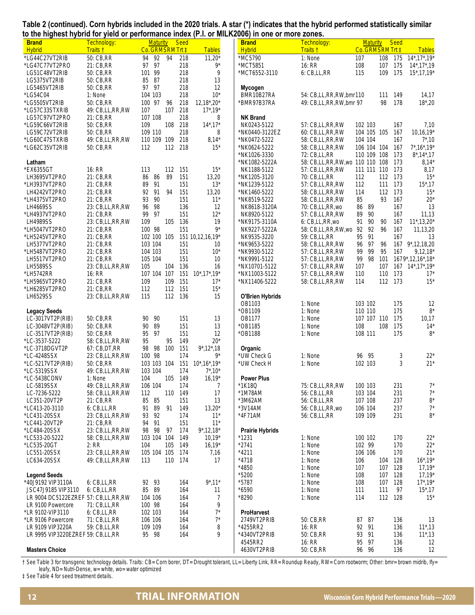|  |  |                                                                                               | Table 2 (continued). Corn hybrids included in the 2020 trials. A star (*) indicates that the hybrid performed statistically similar |
|--|--|-----------------------------------------------------------------------------------------------|-------------------------------------------------------------------------------------------------------------------------------------|
|  |  | to the highest hybrid for yield or performance index (P.I. or MILK2006) in one or more zones. |                                                                                                                                     |

| . <sub></sub><br><b>Brand</b>           | $\ddot{\phantom{0}}$<br>Technology: | <b>Maturity</b>            | <br><b>Seed</b> |                            | <b>Brand</b>                 | Technology:                           | <b>Maturity</b>    |            | <b>Seed</b> |                                              |
|-----------------------------------------|-------------------------------------|----------------------------|-----------------|----------------------------|------------------------------|---------------------------------------|--------------------|------------|-------------|----------------------------------------------|
| <b>Hybrid</b>                           | Traits †                            | Co. GRMSRM Trt ‡           |                 | <b>Tables</b>              | <b>Hybrid</b>                | Traits t                              | Co. GRMSRM Trt ‡   |            |             | <b>Tables</b>                                |
| *LG44C27VT2RIB                          | 50: CB, RR<br>21: CB, RR            | 94<br>92<br>94<br>97 97    | 218<br>218      | $11,20*$<br>9*             | *MC5790<br>*MCT5851          | 1: None<br>16: RR                     | 107                | 108<br>107 | 175<br>175  | $14^*$ , $17^*$ , $19^*$                     |
| *LG47C77VT2PRO<br>LG51C48VT2RIB         | 50: CB, RR                          | 101 99                     | 218             | 9                          | *MCT6552-3110                | 6: CB,LL,RR                           | 108<br>115         | 109        | 175         | $14^*$ , 17 $^*$ , 19<br>$15^*$ , 17, 19 $*$ |
| LG5375VT2RIB                            | 50: CB, RR                          | 85<br>87                   | 218             | 13                         |                              |                                       |                    |            |             |                                              |
| LG5465VT2RIB                            | 50: CB, RR                          | 97<br>- 97                 | 218             | 12                         | Mycogen                      |                                       |                    |            |             |                                              |
| *LG54C04                                | 1: None                             | 104 103                    | 218             | $10*$                      | BMR10B27RA                   | 54: CB, LL, RR, RW, bmr 110           |                    | 111        | 149         | 14,17                                        |
| *LG5505VT2RIB                           | 50: CB, RR                          | 100 97<br>96               | 218             | $12,18^{\star},20^{\star}$ | `BMR97B37RA                  | 49: CB, LL, RR, RW, bmr 97            |                    | 98         | 178         | $18^*$ , 20                                  |
| *LG57C33STXRIB                          | 49: CB,LL,RR,RW                     | 107<br>107                 | 218             | $17^*$ , 19 $*$            |                              |                                       |                    |            |             |                                              |
| LG57C97VT2PRO                           | 21: CB, RR                          | 107 108                    | 218             | 8                          | <b>NK Brand</b>              |                                       |                    |            |             |                                              |
| *LG59C66VT2RIB                          | 50: CB, RR                          | 109<br>108                 | 218             | $14^*$ , $17^*$            | NK0243-5122                  | 57: CB,LL,RR,RW                       | 102 103            |            | 167         | 7,10                                         |
| LG59C72VT2RIB                           | 50: CB, RR                          | 109 110                    | 218             | 8                          | *NK0440-3122EZ               | 60: CB, LL, RR, RW                    | 104 105 105        |            | 167         | $10, 16, 19*$                                |
| *LG60C47STXRIB                          | 49: CB,LL,RR,RW                     | 110 109 109                | 218             | $8,14*$                    | *NK0472-5222                 | 58: CB, LL, RR, RW                    | 104 104            |            | 167         | $7^*$ , 10                                   |
| *LG62C35VT2RIB                          | 50: CB, RR                          | 112<br>112                 | 218             | $15*$                      | *NK0624-5222                 | 58: CB,LL,RR,RW                       | 106 104 104        |            | 167         | $7^*$ , 16 $*$ , 19 $*$                      |
|                                         |                                     |                            |                 |                            | *NK1026-3330                 | 72: CB, LL, RR                        | 110 109 108        |            | 173         | $8^*$ , 14 $*$ , 17                          |
| Latham                                  |                                     |                            |                 |                            | *NK1082-5222A                | 58: CB,LL,RR,RW,wo 110 110 108        |                    |            | 173         | $8,14*$                                      |
| *EX6355GT                               | 16: RR                              | 112<br>113                 | 151             | $15*$                      | NK1188-5122                  | 57: CB, LL, RR, RW                    | 111 111 110        |            | 173         | 8,17                                         |
| LH3695VT2PRO                            | 21: CB, RR                          | 86<br>89<br>86             | 151             | 13,20                      | *NK1205-3120                 | 70: CB, LL, RR                        | 112                | 112 173    |             | $15*$                                        |
| *LH3937VT2PRO                           | 21: CB, RR                          | 89<br>91<br>94             | 151             | $13*$                      | *NK1239-5122                 | 57: CB,LL,RR,RW                       | 112                | 111        | 173         | $15^*$ , 17                                  |
| LH4242VT2PRO<br>*LH4375VT2PRO           | 21: CB, RR<br>21: CB, RR            | 92<br>91<br>93<br>90       | 151<br>151      | 13,20<br>$11*$             | *NK1460-5222<br>*NK8519-5222 | 58: CB,LL,RR,RW<br>58: CB, LL, RR, RW | 114<br>85          | 112<br>93  | 173<br>167  | $15*$<br>$20*$                               |
| LH4669SS                                | 23: CB,LL,RR,RW                     | 96<br>98                   | 136             | 12                         | NK8618-3120A                 | 70: CB,LL,RR,wo                       | 86<br>89           |            | 167         | 13                                           |
| *LH4937VT2PRO                           | 21: CB, RR                          | 99<br>97                   | 151             | $12*$                      | NK8920-5122                  | 57: CB,LL,RR,RW                       | 89<br>90           |            | 167         | 11,13                                        |
| <b>LH4989SS</b>                         | 23: CB,LL,RR,RW                     | 109<br>105                 | 136             | 19                         | *NK9175-3110A                | 6: CB,LL,RR,wo                        | 91<br>90           | 90         | 167         | $11^{\ast}, 13, 20^{\ast}$                   |
| *LH5047VT2PRO                           | 21: CB, RR                          | 100 98                     | 151             | $9*$                       | NK9227-5222A                 | 58: CB,LL,RR,RW,wo                    | 92 92              | 96         | 167         | 11,13,20                                     |
| *LH5245VT2PRO                           | 21: CB, RR                          | 102 100<br>105             |                 | 151 10,12,16,19*           | NK9535-3220                  | 59: CB, LL, RR                        | 95<br>91           |            | 167         | 13                                           |
| LH5377VT2PRO                            | 21: CB, RR                          | 103 104                    | 151             | 10                         | *NK9653-5222                 | 58: CB, LL, RR, RW                    | 97<br>96           | 96         | 167         | $9^*$ , 12, 18, 20                           |
| *LH5487VT2PRO                           | 21: CB, RR                          | 104 103                    | 151             | $10*$                      | *NK9930-5122                 | 57: CB,LL,RR,RW                       | 99<br>99           | 95         | 167         | $9,12,18$ <sup>*</sup>                       |
| LH5517VT2PRO                            | 21: CB, RR                          | 105 104                    | 151             | 10                         | *NK9991-5122                 | 57: CB, LL, RR, RW                    | 99 98              | 101        |             | 1679*,12,16*,18*                             |
| LH5589SS                                | 23: CB,LL,RR,RW                     | 105<br>104                 | 136             | 16                         | *NX10701-5122                | 57: CB, LL, RR, RW                    | 107                | 107        |             | 167 14*, 17*, 19*                            |
| *LH5742RR                               | 16: RR                              | 107 104 107                | 151             | $10^*$ , $17^*$ , $19^*$   | *NX11003-5122                | 57: CB,LL,RR,RW                       | 110                | 110        | 173         | $17*$                                        |
| *LH5965VT2PRO                           | 21: CB, RR                          | 109<br>109                 | 151             | $17*$                      | *NX11406-5222                | 58: CB,LL,RR,RW                       | 114                | 112 173    |             | $15*$                                        |
| *LH6285VT2PRO                           | 21: CB, RR                          | 112<br>112                 | 151             | $15*$                      |                              |                                       |                    |            |             |                                              |
| LH6529SS                                | 23: CB,LL,RR,RW                     | 115<br>112                 | 136             | 15                         | <b>O'Brien Hybrids</b>       |                                       |                    |            |             |                                              |
|                                         |                                     |                            |                 |                            | OB1103<br>*OB1109            | 1: None<br>1: None                    | 103 102<br>110 110 |            | 175<br>175  | 12<br>$8*$                                   |
| <b>Legacy Seeds</b><br>LC-3017VT2P(RIB) | 50: CB, RR                          | 90<br>90                   | 151             | 13                         | OB1177                       | 1: None                               | 107 107 110        |            | 175         | 10,17                                        |
| LC-3048VT2P(RIB)                        | 50: CB, RR                          | 89<br>90                   | 151             | 13                         | *OB1185                      | 1: None                               | 108                | 108        | 175         | $14*$                                        |
| LC-3517VT2P(RIB)                        | 50: CB, RR                          | 95<br>97                   | 151             | 12                         | *OB1188                      | 1: None                               | 108 111            |            | 175         | $8*$                                         |
| *LC-3537-5222                           | 58: CB,LL,RR,RW                     | 95<br>95                   | 149             | $20*$                      |                              |                                       |                    |            |             |                                              |
| *LC-3718DGVT2P                          | 67: CB, DT, RR                      | 98<br>98<br>100            | 151             | $9^*$ , 12 $^*$ , 18       | Organic                      |                                       |                    |            |             |                                              |
| *LC-4248SSX                             | 23: CB,LL,RR,RW                     | 100 98                     | 174             | 9*                         | * UW Check G                 | 1: None                               | 96<br>95           |            | 3           | $22*$                                        |
| *LC-5217VT2P(RIB)                       | 50: CB, RR                          | 103 103 104                | 151             | $10^*$ , $16^*$ , $19^*$   | *UW Check H                  | 1: None                               | 102 103            |            | 3           | $21*$                                        |
| *LC-5319SSX                             | 49: CB,LL,RR,RW                     | 103 104                    | 174             | $7^*$ , 10 <sup>*</sup>    |                              |                                       |                    |            |             |                                              |
| *LC-5438CONV                            | 1: None                             | 104                        | 105 149         | $16,19*$                   | <b>Power Plus</b>            |                                       |                    |            |             |                                              |
| LC-5819SSX                              | 49: CB,LL,RR,RW                     | 106 104                    | 174             | 7                          | 1K18Q                        | 75: CB,LL,RR,RW                       | 100 103            |            | 231         | $7^*$                                        |
| LC-7236-5222                            | 58: CB, LL, RR, RW                  | 112<br>110                 | 149             | 17                         | *1M78AM                      | 56: CB, LL, RR                        | 103 104            |            | 231         | $7^*$                                        |
| LC351-20VT2P                            | 21: CB, RR                          | 85<br>85                   | 151             | 13                         | *3M62AM                      | 56: CB, LL, RR                        | 107 108            |            | 237         | $8^*$                                        |
| *LC413-20-3110<br>*LC431-20SSX          | $6:$ CB, LL, RR<br>23: CB,LL,RR,RW  | 91<br>89<br>91<br>93<br>92 | 149<br>174      | $13,20*$<br>$11*$          | *3V14AM<br>*4F71AM           | 56: CB,LL,RR,wo<br>56: CB, LL, RR     | 106 104<br>109 109 |            | 237<br>231  | $7^*$<br>$8*$                                |
| *LC441-20VT2P                           | 21: CB, RR                          | 94<br>91                   | 151             | $11*$                      |                              |                                       |                    |            |             |                                              |
| *LC484-20SSX                            | 23: CB,LL,RR,RW                     | 98<br>97<br>98             | 174             | $9^*$ , 12, 18*            | <b>Prairie Hybrids</b>       |                                       |                    |            |             |                                              |
| *LC533-20-5222                          | 58: CB,LL,RR,RW                     | 103 104 104                | 149             | $10,19*$                   | * 1231                       | 1: None                               | 100 102            |            | 170         | $22*$                                        |
| *LC535-20GT                             | 2: RR                               | 104<br>105                 | 149             | $16,19*$                   | $*2741$                      | 1: None                               | 102 99             |            | 170         | $22*$                                        |
| LC551-20SSX                             | 23: CB,LL,RR,RW                     | 105 104 105                | - 174           | 7,16                       | $*4211$                      | 1: None                               | 106 106            |            | 170         | $21*$                                        |
| LC634-20SSX                             | 49: CB,LL,RR,RW                     | 113                        | 110 174         | 17                         | $*4718$                      | 1: None                               | 106                | 104        | 128         | $16^*$ , 19 $*$                              |
|                                         |                                     |                            |                 |                            | *4850                        | 1: None                               | 107                | 107        | 128         | $17,19*$                                     |
| <b>Legend Seeds</b>                     |                                     |                            |                 |                            | *5200                        | 1: None                               | 108                | 107        | - 128       | $17,19*$                                     |
| *40J9192 VIP3110A                       | 6: CB,LL,RR                         | 92 93                      | 164             | $9^*$ ,11*                 | *5787                        | 1: None                               | 108                | 107        | 128         | $17^*$ , 19 $*$                              |
| JSC47J9185 VIP3110                      | 6: CB,LL,RR                         | 85<br>89                   | 164             | 11                         | $*6590$                      | 1: None                               | 111                | 111        | 97          | $15^*$ , 17                                  |
| LR 9004 DC5122EZREF 57: CB,LL,RR,RW     |                                     | 104 106                    | 164             | 7                          | *8290                        | 1: None                               | 114                | 112 128    |             | $15*$                                        |
| LR 9100 Powercore                       | 71: CB, LL, RR                      | 100 98                     | 164             | 9                          |                              |                                       |                    |            |             |                                              |
| *LR 9102-VIP3110                        | $6:$ CB, LL, RR                     | 102 103                    | 164             | $7^*$<br>$7^*$             | ProHarvest                   |                                       |                    |            |             |                                              |
| *LR 9106 Powercore<br>LR 9109 VIP3220A  | 71: CB, LL, RR<br>59: CB, LL, RR    | 106 106<br>109 109         | 164<br>164      | 8                          | 2749VT2PRIB<br>*4255RR2      | 50: CB, RR<br>16: RR                  | 87<br>87<br>92 91  |            | 136<br>136  | 13                                           |
| LR 9995 VIP3220EZREF 59: CB,LL,RR       |                                     | 95 98                      | 164             | 9                          | *4340VT2PRIB                 | 50: CB, RR                            | 93 91              |            | 136         | $11^*$ , 13<br>$11^*$ , 13                   |
|                                         |                                     |                            |                 |                            | 4545RR2                      | 16: RR                                | 95 97              |            | 136         | 12                                           |
| <b>Masters Choice</b>                   |                                     |                            |                 |                            | 4630VT2PRIB                  | 50: CB, RR                            | 96 96              |            | 136         | 12                                           |

† See Table 3 for transgenic technology details. Traits: CB= Corn borer, DT= Drought tolerant, LL= Liberty Link, RR= Roundup Ready, RW= Corn rootworm; Other: bmr= brown midrib, lfy= leafy, ND= Nutri-Dense, w= white, wo= water optimized